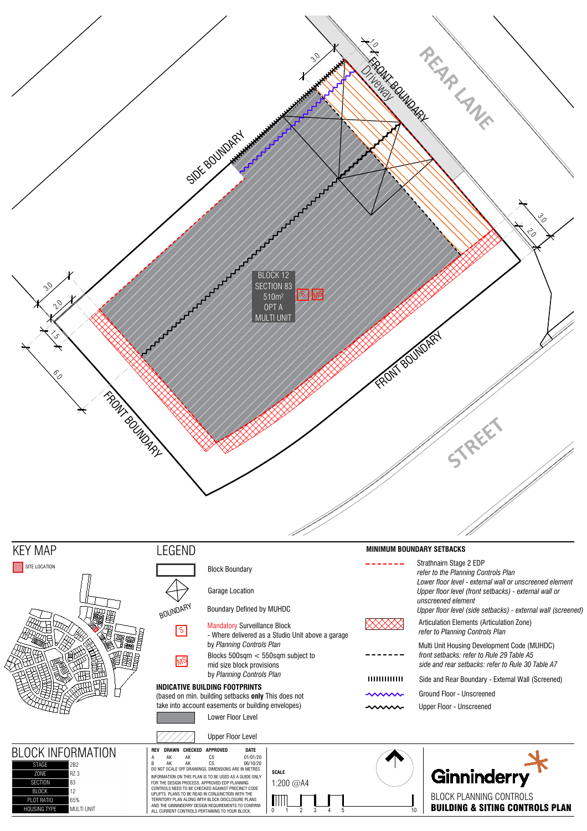